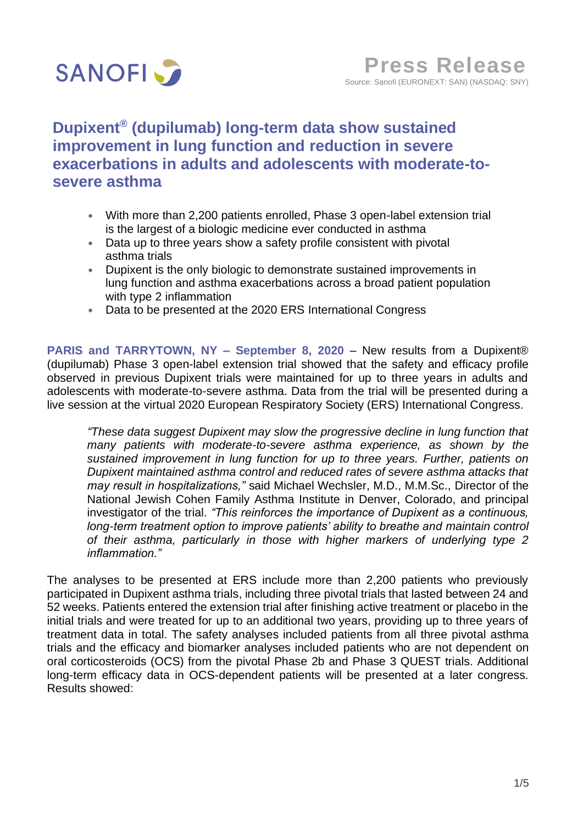

# **Dupixent® (dupilumab) long-term data show sustained improvement in lung function and reduction in severe exacerbations in adults and adolescents with moderate-tosevere asthma**

- With more than 2,200 patients enrolled, Phase 3 open-label extension trial is the largest of a biologic medicine ever conducted in asthma
- Data up to three years show a safety profile consistent with pivotal asthma trials
- Dupixent is the only biologic to demonstrate sustained improvements in lung function and asthma exacerbations across a broad patient population with type 2 inflammation
- Data to be presented at the 2020 ERS International Congress

**PARIS and TARRYTOWN, NY – September 8, 2020** – New results from a Dupixent® (dupilumab) Phase 3 open-label extension trial showed that the safety and efficacy profile observed in previous Dupixent trials were maintained for up to three years in adults and adolescents with moderate-to-severe asthma. Data from the trial will be presented during a live session at the virtual 2020 European Respiratory Society (ERS) International Congress.

*"These data suggest Dupixent may slow the progressive decline in lung function that many patients with moderate-to-severe asthma experience, as shown by the sustained improvement in lung function for up to three years. Further, patients on Dupixent maintained asthma control and reduced rates of severe asthma attacks that may result in hospitalizations,"* said Michael Wechsler, M.D., M.M.Sc., Director of the National Jewish Cohen Family Asthma Institute in Denver, Colorado, and principal investigator of the trial. *"This reinforces the importance of Dupixent as a continuous, long-term treatment option to improve patients' ability to breathe and maintain control of their asthma, particularly in those with higher markers of underlying type 2 inflammation."*

The analyses to be presented at ERS include more than 2,200 patients who previously participated in Dupixent asthma trials, including three pivotal trials that lasted between 24 and 52 weeks. Patients entered the extension trial after finishing active treatment or placebo in the initial trials and were treated for up to an additional two years, providing up to three years of treatment data in total. The safety analyses included patients from all three pivotal asthma trials and the efficacy and biomarker analyses included patients who are not dependent on oral corticosteroids (OCS) from the pivotal Phase 2b and Phase 3 QUEST trials. Additional long-term efficacy data in OCS-dependent patients will be presented at a later congress. Results showed: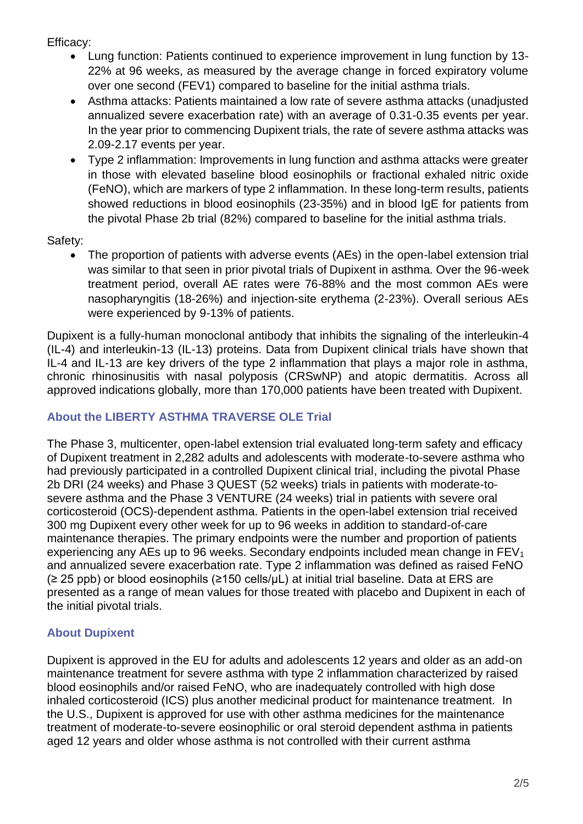Efficacy:

- Lung function: Patients continued to experience improvement in lung function by 13- 22% at 96 weeks, as measured by the average change in forced expiratory volume over one second (FEV1) compared to baseline for the initial asthma trials.
- Asthma attacks: Patients maintained a low rate of severe asthma attacks (unadjusted annualized severe exacerbation rate) with an average of 0.31-0.35 events per year. In the year prior to commencing Dupixent trials, the rate of severe asthma attacks was 2.09-2.17 events per year.
- Type 2 inflammation: Improvements in lung function and asthma attacks were greater in those with elevated baseline blood eosinophils or fractional exhaled nitric oxide (FeNO), which are markers of type 2 inflammation. In these long-term results, patients showed reductions in blood eosinophils (23-35%) and in blood IgE for patients from the pivotal Phase 2b trial (82%) compared to baseline for the initial asthma trials.

Safety:

• The proportion of patients with adverse events (AEs) in the open-label extension trial was similar to that seen in prior pivotal trials of Dupixent in asthma. Over the 96-week treatment period, overall AE rates were 76-88% and the most common AEs were nasopharyngitis (18-26%) and injection-site erythema (2-23%). Overall serious AEs were experienced by 9-13% of patients.

Dupixent is a fully-human monoclonal antibody that inhibits the signaling of the interleukin-4 (IL-4) and interleukin-13 (IL-13) proteins. Data from Dupixent clinical trials have shown that IL-4 and IL-13 are key drivers of the type 2 inflammation that plays a major role in asthma, chronic rhinosinusitis with nasal polyposis (CRSwNP) and atopic dermatitis. Across all approved indications globally, more than 170,000 patients have been treated with Dupixent.

## **About the LIBERTY ASTHMA TRAVERSE OLE Trial**

The Phase 3, multicenter, open-label extension trial evaluated long-term safety and efficacy of Dupixent treatment in 2,282 adults and adolescents with moderate-to-severe asthma who had previously participated in a controlled Dupixent clinical trial, including the pivotal Phase 2b DRI (24 weeks) and Phase 3 QUEST (52 weeks) trials in patients with moderate-tosevere asthma and the Phase 3 VENTURE (24 weeks) trial in patients with severe oral corticosteroid (OCS)-dependent asthma. Patients in the open-label extension trial received 300 mg Dupixent every other week for up to 96 weeks in addition to standard-of-care maintenance therapies. The primary endpoints were the number and proportion of patients experiencing any AEs up to 96 weeks. Secondary endpoints included mean change in  $FEV<sub>1</sub>$ and annualized severe exacerbation rate. Type 2 inflammation was defined as raised FeNO (≥ 25 ppb) or blood eosinophils (≥150 cells/μL) at initial trial baseline. Data at ERS are presented as a range of mean values for those treated with placebo and Dupixent in each of the initial pivotal trials.

## **About Dupixent**

Dupixent is approved in the EU for adults and adolescents 12 years and older as an add-on maintenance treatment for severe asthma with type 2 inflammation characterized by raised blood eosinophils and/or raised FeNO, who are inadequately controlled with high dose inhaled corticosteroid (ICS) plus another medicinal product for maintenance treatment. In the U.S., Dupixent is approved for use with other asthma medicines for the maintenance treatment of moderate-to-severe eosinophilic or oral steroid dependent asthma in patients aged 12 years and older whose asthma is not controlled with their current asthma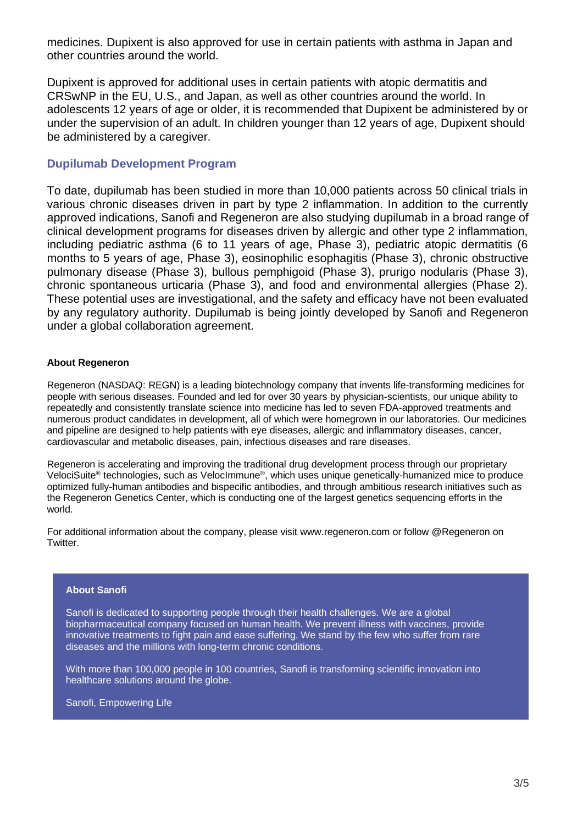medicines. Dupixent is also approved for use in certain patients with asthma in Japan and other countries around the world.

Dupixent is approved for additional uses in certain patients with atopic dermatitis and CRSwNP in the EU, U.S., and Japan, as well as other countries around the world. In adolescents 12 years of age or older, it is recommended that Dupixent be administered by or under the supervision of an adult. In children younger than 12 years of age, Dupixent should be administered by a caregiver.

## **Dupilumab Development Program**

To date, dupilumab has been studied in more than 10,000 patients across 50 clinical trials in various chronic diseases driven in part by type 2 inflammation. In addition to the currently approved indications, Sanofi and Regeneron are also studying dupilumab in a broad range of clinical development programs for diseases driven by allergic and other type 2 inflammation, including pediatric asthma (6 to 11 years of age, Phase 3), pediatric atopic dermatitis (6 months to 5 years of age, Phase 3), eosinophilic esophagitis (Phase 3), chronic obstructive pulmonary disease (Phase 3), bullous pemphigoid (Phase 3), prurigo nodularis (Phase 3), chronic spontaneous urticaria (Phase 3), and food and environmental allergies (Phase 2). These potential uses are investigational, and the safety and efficacy have not been evaluated by any regulatory authority. Dupilumab is being jointly developed by Sanofi and Regeneron under a global collaboration agreement.

## **About Regeneron**

Regeneron (NASDAQ: REGN) is a leading biotechnology company that invents life-transforming medicines for people with serious diseases. Founded and led for over 30 years by physician-scientists, our unique ability to repeatedly and consistently translate science into medicine has led to seven FDA-approved treatments and numerous product candidates in development, all of which were homegrown in our laboratories. Our medicines and pipeline are designed to help patients with eye diseases, allergic and inflammatory diseases, cancer, cardiovascular and metabolic diseases, pain, infectious diseases and rare diseases.

Regeneron is accelerating and improving the traditional drug development process through our proprietary VelociSuite<sup>®</sup> technologies, such as VelocImmune®, which uses unique genetically-humanized mice to produce optimized fully-human antibodies and bispecific antibodies, and through ambitious research initiatives such as the Regeneron Genetics Center, which is conducting one of the largest genetics sequencing efforts in the world.

For additional information about the company, please visit www.regeneron.com or follow @Regeneron on Twitter.

### **About Sanofi**

Sanofi is dedicated to supporting people through their health challenges. We are a global biopharmaceutical company focused on human health. We prevent illness with vaccines, provide innovative treatments to fight pain and ease suffering. We stand by the few who suffer from rare diseases and the millions with long-term chronic conditions.

With more than 100,000 people in 100 countries, Sanofi is transforming scientific innovation into healthcare solutions around the globe.

Sanofi, Empowering Life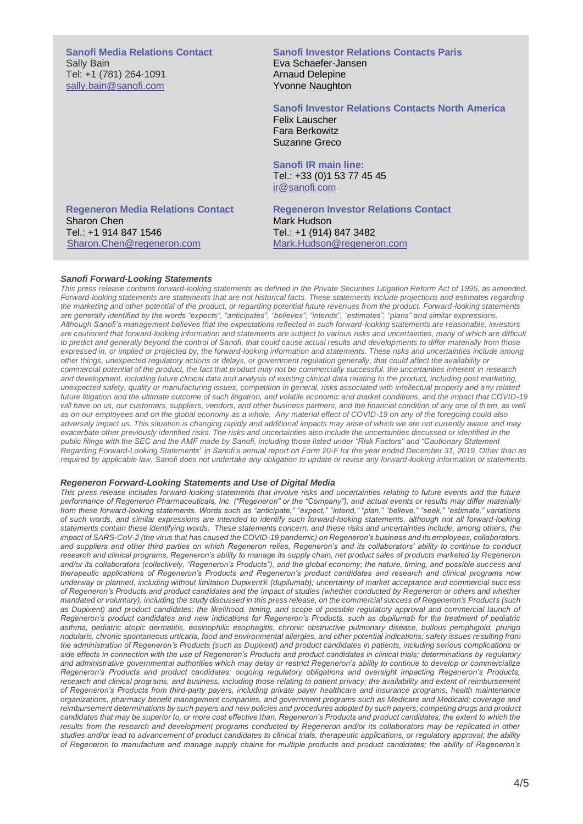**Sanofi Media Relations Contact** Sally Bain Tel: +1 (781) 264-1091 [sally.bain@sanofi.com](mailto:sally.bain@sanofi.com)

### **Sanofi Investor Relations Contacts Paris** Eva Schaefer-Jansen Arnaud Delepine Yvonne Naughton

#### **Sanofi Investor Relations Contacts North America**

Felix Lauscher Fara Berkowitz Suzanne Greco

**Sanofi IR main line:** Tel.: +33 (0)1 53 77 45 45 [ir@sanofi.com](mailto:ir@sanofi.com)

**Regeneron Media Relations Contact** Sharon Chen Tel.: +1 914 847 1546 [Sharon.Chen@regeneron.com](mailto:Sharon.Chen@regeneron.com)

**Regeneron Investor Relations Contact** Mark Hudson Tel.: +1 (914) 847 3482 Mark.Hudson@regeneron.com

#### *Sanofi Forward-Looking Statements*

*This press release contains forward-looking statements as defined in the Private Securities Litigation Reform Act of 1995, as amended. Forward-looking statements are statements that are not historical facts. These statements include projections and estimates regarding the marketing and other potential of the product, or regarding potential future revenues from the product. Forward-looking statements are generally identified by the words "expects", "anticipates", "believes", "intends", "estimates", "plans" and similar expressions. Although Sanofi's management believes that the expectations reflected in such forward-looking statements are reasonable, investors are cautioned that forward-looking information and statements are subject to various risks and uncertainties, many of which are difficult to predict and generally beyond the control of Sanofi, that could cause actual results and developments to differ materially from those expressed in, or implied or projected by, the forward-looking information and statements. These risks and uncertainties include among other things, unexpected regulatory actions or delays, or government regulation generally, that could affect the availability or commercial potential of the product, the fact that product may not be commercially successful, the uncertainties inherent in research and development, including future clinical data and analysis of existing clinical data relating to the product, including post marketing, unexpected safety, quality or manufacturing issues, competition in general, risks associated with intellectual property and any related future litigation and the ultimate outcome of such litigation, and volatile economic and market conditions, and the impact that COVID-19*  will have on us, our customers, suppliers, vendors, and other business partners, and the financial condition of any one of them, as well *as on our employees and on the global economy as a whole. Any material effect of COVID-19 on any of the foregoing could also*  adversely impact us. This situation is changing rapidly and additional impacts may arise of which we are not currently aware and may *exacerbate other previously identified risks. The risks and uncertainties also include the uncertainties discussed or identified in the public filings with the SEC and the AMF made by Sanofi, including those listed under "Risk Factors" and "Cautionary Statement Regarding Forward-Looking Statements" in Sanofi's annual report on Form 20-F for the year ended December 31, 2019. Other than as required by applicable law, Sanofi does not undertake any obligation to update or revise any forward-looking information or statements.*

#### *Regeneron Forward-Looking Statements and Use of Digital Media*

*This press release includes forward-looking statements that involve risks and uncertainties relating to future events and the future performance of Regeneron Pharmaceuticals, Inc. ("Regeneron" or the "Company"), and actual events or results may differ materially from these forward-looking statements. Words such as "anticipate," "expect," "intend," "plan," "believe," "seek," "estimate," variations of such words, and similar expressions are intended to identify such forward-looking statements, although not all forward-looking statements contain these identifying words. These statements concern, and these risks and uncertainties include, among others, the impact of SARS-CoV-2 (the virus that has caused the COVID-19 pandemic) on Regeneron's business and its employees, collaborators, and suppliers and other third parties on which Regeneron relies, Regeneron's and its collaborators' ability to continue to conduct research and clinical programs, Regeneron's ability to manage its supply chain, net product sales of products marketed by Regeneron and/or its collaborators (collectively, "Regeneron's Products"), and the global economy; the nature, timing, and possible success and therapeutic applications of Regeneron's Products and Regeneron's product candidates and research and clinical programs now underway or planned, including without limitation Dupixent® (dupilumab); uncertainty of market acceptance and commercial success of Regeneron's Products and product candidates and the impact of studies (whether conducted by Regeneron or others and whether mandated or voluntary), including the study discussed in this press release, on the commercial success of Regeneron's Products (such*  as Dupixent) and product candidates; the likelihood, *timing, and scope of possible regulatory approval and commercial launch of Regeneron's product candidates and new indications for Regeneron's Products, such as dupilumab for the treatment of pediatric asthma, pediatric atopic dermatitis, eosinophilic esophagitis, chronic obstructive pulmonary disease, bullous pemphigoid, prurigo nodularis, chronic spontaneous urticaria, food and environmental allergies, and other potential indications; safety issues resulting from the administration of Regeneron's Products (such as Dupixent) and product candidates in patients, including serious complications or side effects in connection with the use of Regeneron's Products and product candidates in clinical trials; determinations by regulatory and administrative governmental authorities which may delay or restrict Regeneron's ability to continue to develop or commercialize Regeneron's Products and product candidates; ongoing regulatory obligations and oversight impacting Regeneron's Products, research and clinical programs, and business, including those relating to patient privacy; the availability and extent of reimbursement of Regeneron's Products from third-party payers, including private payer healthcare and insurance programs, health maintenance organizations, pharmacy benefit management companies, and government programs such as Medicare and Medicaid; coverage and reimbursement determinations by such payers and new policies and procedures adopted by such payers; competing drugs and product*  candidates that may be superior to, or more cost effective than. Regeneron's Products and product candidates; the extent to which the *results from the research and development programs conducted by Regeneron and/or its collaborators may be replicated in other studies and/or lead to advancement of product candidates to clinical trials, therapeutic applications, or regulatory approval; the ability of Regeneron to manufacture and manage supply chains for multiple products and product candidates; the ability of Regeneron's*